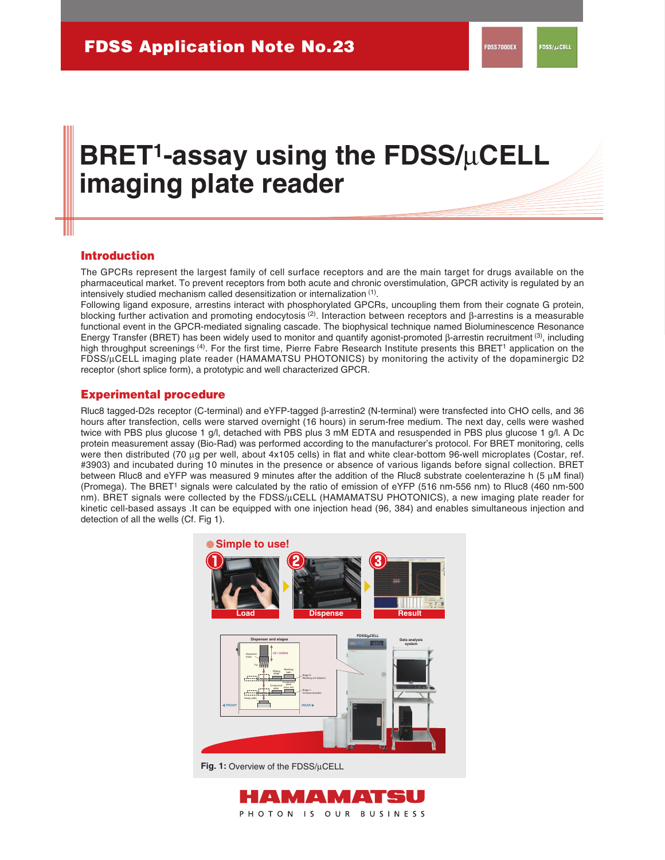# **BRET1-assay using the FDSS/**μ**CELL imaging plate reader**

## **Introduction**

The GPCRs represent the largest family of cell surface receptors and are the main target for drugs available on the pharmaceutical market. To prevent receptors from both acute and chronic overstimulation, GPCR activity is regulated by an intensively studied mechanism called desensitization or internalization (1).

Following ligand exposure, arrestins interact with phosphorylated GPCRs, uncoupling them from their cognate G protein, blocking further activation and promoting endocytosis (2). Interaction between receptors and β-arrestins is a measurable functional event in the GPCR-mediated signaling cascade. The biophysical technique named Bioluminescence Resonance Energy Transfer (BRET) has been widely used to monitor and quantify agonist-promoted β-arrestin recruitment (3), including high throughput screenings <sup>(4)</sup>. For the first time, Pierre Fabre Research Institute presents this BRET<sup>1</sup> application on the FDSS/μCELL imaging plate reader (HAMAMATSU PHOTONICS) by monitoring the activity of the dopaminergic D2 receptor (short splice form), a prototypic and well characterized GPCR.

## **Experimental procedure**

Rluc8 tagged-D2s receptor (C-terminal) and eYFP-tagged β-arrestin2 (N-terminal) were transfected into CHO cells, and 36 hours after transfection, cells were starved overnight (16 hours) in serum-free medium. The next day, cells were washed twice with PBS plus glucose 1 g/l, detached with PBS plus 3 mM EDTA and resuspended in PBS plus glucose 1 g/l. A Dc protein measurement assay (Bio-Rad) was performed according to the manufacturer's protocol. For BRET monitoring, cells were then distributed (70 μg per well, about 4x105 cells) in flat and white clear-bottom 96-well microplates (Costar, ref. #3903) and incubated during 10 minutes in the presence or absence of various ligands before signal collection. BRET between Rluc8 and eYFP was measured 9 minutes after the addition of the Rluc8 substrate coelenterazine h (5 μM final) (Promega). The BRET1 signals were calculated by the ratio of emission of eYFP (516 nm-556 nm) to Rluc8 (460 nm-500 nm). BRET signals were collected by the FDSS/μCELL (HAMAMATSU PHOTONICS), a new imaging plate reader for kinetic cell-based assays .It can be equipped with one injection head (96, 384) and enables simultaneous injection and detection of all the wells (Cf. Fig 1).